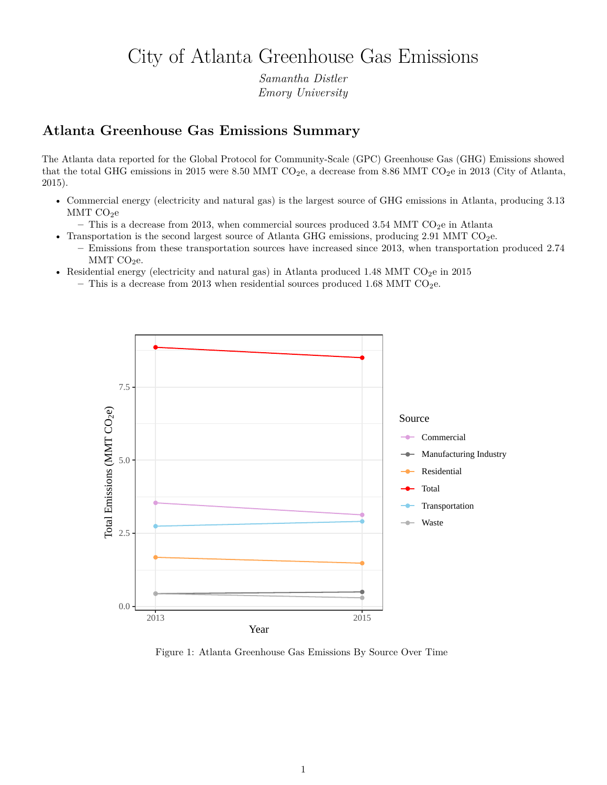## City of Atlanta Greenhouse Gas Emissions

*Samantha Distler Emory University*

## **Atlanta Greenhouse Gas Emissions Summary**

The Atlanta data reported for the Global Protocol for Community-Scale (GPC) Greenhouse Gas (GHG) Emissions showed that the total GHG emissions in 2015 were 8.50 MMT  $CO<sub>2</sub>e$ , a decrease from 8.86 MMT  $CO<sub>2</sub>e$  in 2013 (City of Atlanta, 2015).

- Commercial energy (electricity and natural gas) is the largest source of GHG emissions in Atlanta, producing 3.13  $MMT CO<sub>2</sub>e$ 
	- This is a decrease from 2013, when commercial sources produced  $3.54$  MMT CO<sub>2</sub>e in Atlanta
- Transportation is the second largest source of Atlanta GHG emissions, producing 2.91 MMT CO<sub>2</sub>e.
	- **–** Emissions from these transportation sources have increased since 2013, when transportation produced 2.74 MMT  $CO<sub>2</sub>e$ .
- Residential energy (electricity and natural gas) in Atlanta produced 1.48 MMT  $CO<sub>2</sub>e$  in 2015
	- $-$  This is a decrease from 2013 when residential sources produced 1.68 MMT CO<sub>2</sub>e.



Figure 1: Atlanta Greenhouse Gas Emissions By Source Over Time